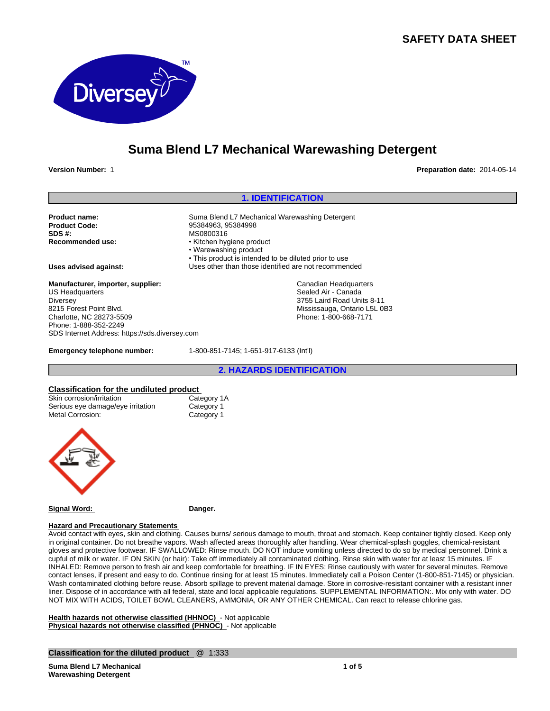## **SAFETY DATA SHEET**



# **Suma Blend L7 Mechanical Warewashing Detergent**

**Version Number:** 1 **Preparation date:** 2014-05-14

## **1. IDENTIFICATION**

Canadian Headquarters Sealed Air - Canada 3755 Laird Road Units 8-11 Mississauga, Ontario L5L 0B3 Phone: 1-800-668-7171

• This product is intended to be diluted prior to use

**Product name:** Suma Blend L7 Mechanical Warewashing Detergent<br> **Product Code:** Same Research 2006 95384963, 95384998 **Product Code:** 95384963, 95384998<br> **SDS #:** MS0800316 **SDS #:** MS0800316<br> **Recommended use:** MS0800316<br> **Recommended use:** Michen hyd

**Uses advised against:** Uses other than those identified are not recommended

**Manufacturer, importer, supplier:** US Headquarters **Diversey** 8215 Forest Point Blvd. Charlotte, NC 28273-5509 Phone: 1-888-352-2249 SDS Internet Address: https://sds.diversey.com

**Emergency telephone number:** 1-800-851-7145; 1-651-917-6133 (Int'l)

• Kitchen hygiene product • Warewashing product

**2. HAZARDS IDENTIFICATION**

## **Classification for the undiluted product**

| Classification for the ununuted brought |             |  |
|-----------------------------------------|-------------|--|
| Skin corrosion/irritation               | Category 1A |  |
| Serious eye damage/eye irritation       | Category 1  |  |
| Metal Corrosion:                        | Category 1  |  |
|                                         |             |  |
|                                         |             |  |



**Signal Word: Danger.**

## **Hazard and Precautionary Statements**

Avoid contact with eyes, skin and clothing. Causes burns/ serious damage to mouth, throat and stomach. Keep container tightly closed. Keep only in original container. Do not breathe vapors. Wash affected areas thoroughly after handling. Wear chemical-splash goggles, chemical-resistant gloves and protective footwear. IF SWALLOWED: Rinse mouth. DO NOT induce vomiting unless directed to do so by medical personnel. Drink a cupful of milk or water. IF ON SKIN (or hair): Take off immediately all contaminated clothing. Rinse skin with water for at least 15 minutes. IF INHALED: Remove person to fresh air and keep comfortable for breathing. IF IN EYES: Rinse cautiously with water for several minutes. Remove contact lenses, if present and easy to do. Continue rinsing for at least 15 minutes. Immediately call a Poison Center (1-800-851-7145) or physician. Wash contaminated clothing before reuse. Absorb spillage to prevent material damage. Store in corrosive-resistant container with a resistant inner liner. Dispose of in accordance with all federal, state and local applicable regulations. SUPPLEMENTAL INFORMATION:. Mix only with water. DO NOT MIX WITH ACIDS, TOILET BOWL CLEANERS, AMMONIA, OR ANY OTHER CHEMICAL. Can react to release chlorine gas.

**Health hazards not otherwise classified (HHNOC)** - Not applicable **Physical hazards not otherwise classified (PHNOC)** - Not applicable

**Classification for the diluted product** @ 1:333

**Suma Blend L7 Mechanical Warewashing Detergent**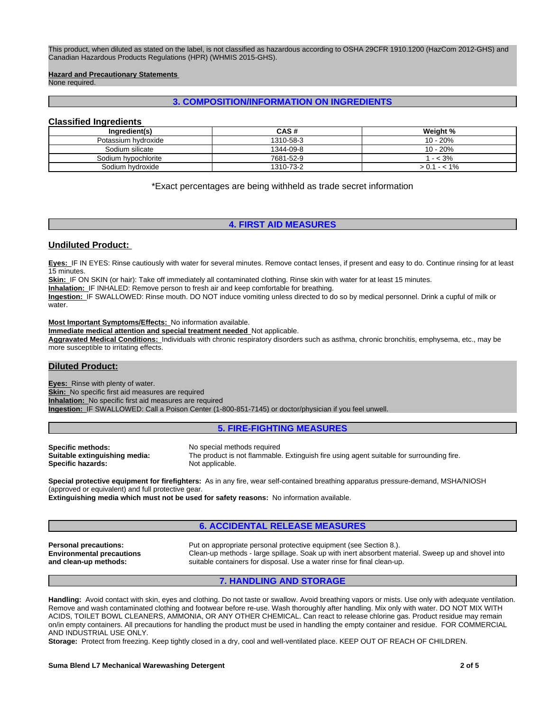This product, when diluted as stated on the label, is not classified as hazardous according to OSHA 29CFR 1910.1200 (HazCom 2012-GHS) and Canadian Hazardous Products Regulations (HPR) (WHMIS 2015-GHS).

#### **Hazard and Precautionary Statements**

None required.

## **3. COMPOSITION/INFORMATION ON INGREDIENTS**

## **Classified Ingredients**

| Ingredient(s)       | CAS #     | Weight %  |
|---------------------|-----------|-----------|
| Potassium hydroxide | 1310-58-3 | 10 - 20%  |
| Sodium silicate     | 1344-09-8 | 10 - 20%  |
| Sodium hvpochlorite | 7681-52-9 | $- < 3\%$ |
| Sodium hydroxide    | 1310-73-2 | $1 - 1\%$ |

\*Exact percentages are being withheld as trade secret information

## **4. FIRST AID MEASURES**

#### **Undiluted Product:**

**Eyes:** IF IN EYES: Rinse cautiously with water for several minutes. Remove contact lenses, if present and easy to do. Continue rinsing for at least 15 minutes.

**Skin:** IF ON SKIN (or hair): Take off immediately all contaminated clothing. Rinse skin with water for at least 15 minutes.

**Inhalation:** IF INHALED: Remove person to fresh air and keep comfortable for breathing.

**Ingestion:** IF SWALLOWED: Rinse mouth. DO NOT induce vomiting unless directed to do so by medical personnel. Drink a cupful of milk or water.

**Most Important Symptoms/Effects:** No information available.

**Immediate medical attention and special treatment needed** Not applicable.

**Aggravated Medical Conditions:** Individuals with chronic respiratory disorders such as asthma, chronic bronchitis, emphysema, etc., may be more susceptible to irritating effects.

## **Diluted Product:**

**Eyes:** Rinse with plenty of water. **Skin:** No specific first aid measures are required **Inhalation:** No specific first aid measures are required **Ingestion:** IF SWALLOWED: Call a Poison Center (1-800-851-7145) or doctor/physician if you feel unwell.

#### **5. FIRE-FIGHTING MEASURES**

**Specific hazards:** 

**Specific methods:**<br>**Suitable extinguishing media:** The product is not flammable The product is not flammable. Extinguish fire using agent suitable for surrounding fire.<br>Not applicable.

**Special protective equipment for firefighters:** As in any fire, wear self-contained breathing apparatus pressure-demand, MSHA/NIOSH (approved or equivalent) and full protective gear.

**Extinguishing media which must not be used for safety reasons:** No information available.

## **6. ACCIDENTAL RELEASE MEASURES**

**Environmental precautions and clean-up methods:**

**Personal precautions:** Put on appropriate personal protective equipment (see Section 8.). Clean-up methods - large spillage. Soak up with inert absorbent material. Sweep up and shovel into suitable containers for disposal. Use a water rinse for final clean-up.

## **7. HANDLING AND STORAGE**

**Handling:** Avoid contact with skin, eyes and clothing. Do not taste or swallow. Avoid breathing vapors or mists. Use only with adequate ventilation. Remove and wash contaminated clothing and footwear before re-use. Wash thoroughly after handling. Mix only with water. DO NOT MIX WITH ACIDS, TOILET BOWL CLEANERS, AMMONIA, OR ANY OTHER CHEMICAL. Can react to release chlorine gas. Product residue may remain on/in empty containers. All precautions for handling the product must be used in handling the empty container and residue. FOR COMMERCIAL AND INDUSTRIAL USE ONLY.

**Storage:** Protect from freezing. Keep tightly closed in a dry, cool and well-ventilated place. KEEP OUT OF REACH OF CHILDREN.

#### **Suma Blend L7 Mechanical Warewashing Detergent 2 of 5**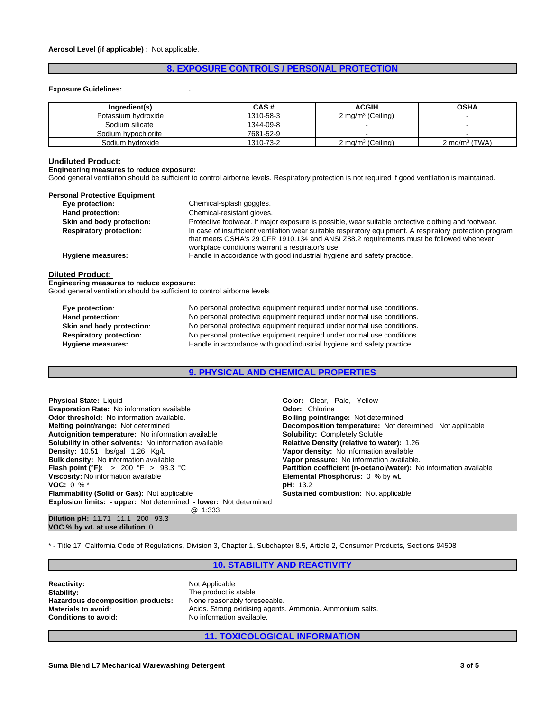## **8. EXPOSURE CONTROLS / PERSONAL PROTECTION**

#### **Exposure Guidelines:** .

| Ingredient(s)       | CAS#      | <b>ACGIH</b>                 | <b>OSHA</b>                 |
|---------------------|-----------|------------------------------|-----------------------------|
| Potassium hydroxide | 1310-58-3 | $2 \text{ ma/m}^3$ (Ceiling) |                             |
| Sodium silicate     | 1344-09-8 |                              |                             |
| Sodium hypochlorite | 7681-52-9 |                              | -                           |
| Sodium hvdroxide    | 1310-73-2 | 2 mg/m $3$ (Ceiling)         | 2 mg/m <sup>3</sup> $(TWA)$ |

#### **Undiluted Product:**

#### **Engineering measures to reduce exposure:**

Good general ventilation should be sufficient to control airborne levels. Respiratory protection is not required if good ventilation is maintained.

| Personal Protective Equipment  |                                                                                                                                                                                                                                                          |
|--------------------------------|----------------------------------------------------------------------------------------------------------------------------------------------------------------------------------------------------------------------------------------------------------|
| Eye protection:                | Chemical-splash goggles.                                                                                                                                                                                                                                 |
| Hand protection:               | Chemical-resistant gloves.                                                                                                                                                                                                                               |
| Skin and body protection:      | Protective footwear. If major exposure is possible, wear suitable protective clothing and footwear.                                                                                                                                                      |
| <b>Respiratory protection:</b> | In case of insufficient ventilation wear suitable respiratory equipment. A respiratory protection program<br>that meets OSHA's 29 CFR 1910.134 and ANSI Z88.2 requirements must be followed whenever<br>workplace conditions warrant a respirator's use. |
| Hygiene measures:              | Handle in accordance with good industrial hygiene and safety practice.                                                                                                                                                                                   |
|                                |                                                                                                                                                                                                                                                          |

#### **Diluted Product:**

**Engineering measures to reduce exposure:** Good general ventilation should be sufficient to control airborne levels

| Eye protection:                | No personal protective equipment required under normal use conditions. |
|--------------------------------|------------------------------------------------------------------------|
| Hand protection:               | No personal protective equipment required under normal use conditions. |
| Skin and body protection:      | No personal protective equipment required under normal use conditions. |
| <b>Respiratory protection:</b> | No personal protective equipment required under normal use conditions. |
| <b>Hygiene measures:</b>       | Handle in accordance with good industrial hygiene and safety practice. |

**9. PHYSICAL AND CHEMICAL PROPERTIES**

**Explosion limits: - upper:** Not determined **- lower:** Not determined **@** 1:333 **Dilution pH:** 11.71 11.1 200 93.3 **Physical State:** Liquid **Color:** *Color: Clear, Pale, Yellow*<br> **Color: Chlorine Color: Chlorine Color: Chlorine Evaporation Rate:** No information available **Odor threshold:** No information available. **Boiling point in the Boiling point/range:** Not determined **Melting point/range:** Not determined<br> **Autoignition temperature:** No information available<br> **Solubility:** Completely Soluble **Autoignition temperature:** No information available **Solubility in other solvents:** No information available **Relative Density (relative to water):** 1.26 **Density:** 10.51 **Ibs/gal 1.26 Kg/L Kg/L Relative Density: No information available Bulk density:** No information available **Vapor pressure:** No information available.<br> **Flash point (°F):** > 200 °F > 93.3 °C **Partition coefficient (n-octanol/water):** N **Viscosity:** No information available **Elemental Phosphorus:** 0 % by wt. **VOC:** 0 % \*<br>**Flammability (Solid or Gas):** Not applicable **the set of the Sustained combustion:** Not applicable **Flammability (Solid or Gas): Not applicable** 

**Vapor density:** No information available **Partition coefficient (n-octanol/water):** No information available

\* - Title 17, California Code of Regulations, Division 3, Chapter 1, Subchapter 8.5, Article 2, Consumer Products, Sections 94508

## **10. STABILITY AND REACTIVITY**

**Reactivity:** Not Applicable<br> **Stability:** Not Applicable<br> **Stability:** Not Applicable Stability: **Hazardous decomposition products:** None reasonably foreseeable.

**VOC % by wt. at use dilution** 0

The product is stable **Materials to avoid:** Acids. Strong oxidising agents. Ammonia. Ammonium salts. Conditions to avoid: **Acids.** No information available. **Conditions to avoid:** No information available.

**11. TOXICOLOGICAL INFORMATION**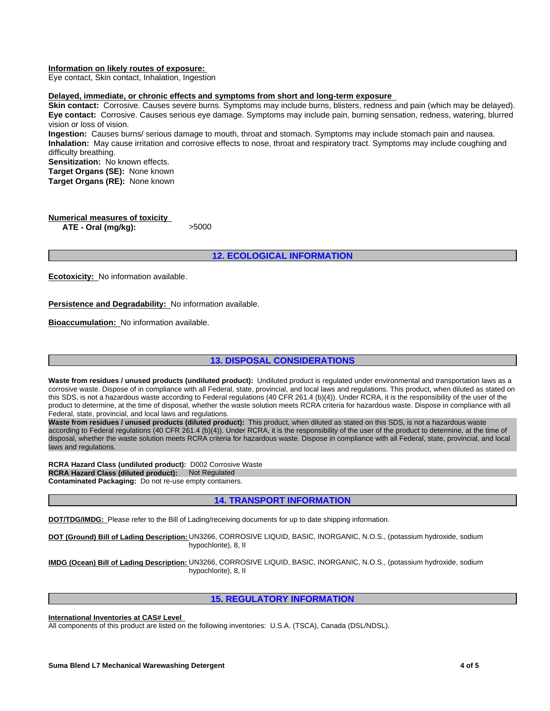#### **Information on likely routes of exposure:**

Eye contact, Skin contact, Inhalation, Ingestion

#### **Delayed, immediate, or chronic effects and symptoms from short and long-term exposure**

**Skin contact:** Corrosive. Causes severe burns. Symptoms may include burns, blisters, redness and pain (which may be delayed). **Eye contact:** Corrosive. Causes serious eye damage. Symptoms may include pain, burning sensation, redness, watering, blurred vision or loss of vision.

**Ingestion:** Causes burns/ serious damage to mouth, throat and stomach. Symptoms may include stomach pain and nausea. **Inhalation:** May cause irritation and corrosive effects to nose, throat and respiratory tract. Symptoms may include coughing and difficulty breathing.

**Sensitization:** No known effects. **Target Organs (SE):** None known **Target Organs (RE):** None known

**Numerical measures of toxicity ATE - Oral (mg/kg):** >5000

**12. ECOLOGICAL INFORMATION**

**Ecotoxicity:** No information available.

**Persistence and Degradability:** No information available.

**Bioaccumulation:** No information available.

## **13. DISPOSAL CONSIDERATIONS**

Waste from residues / unused products (undiluted product): Undiluted product is regulated under environmental and transportation laws as a corrosive waste. Dispose of in compliance with all Federal, state, provincial, and local laws and regulations. This product, when diluted as stated on this SDS, is not a hazardous waste according to Federal regulations (40 CFR 261.4 (b)(4)). Under RCRA, it is the responsibility of the user of the product to determine, at the time of disposal, whether the waste solution meets RCRA criteria for hazardous waste. Dispose in compliance with all Federal, state, provincial, and local laws and regulations.

**Waste from residues / unused products (diluted product):** This product, when diluted as stated on this SDS, is not a hazardous waste according to Federal regulations (40 CFR 261.4 (b)(4)). Under RCRA, it is the responsibility of the user of the product to determine, at the time of disposal, whether the waste solution meets RCRA criteria for hazardous waste. Dispose in compliance with all Federal, state, provincial, and local laws and regulations.

**RCRA Hazard Class (undiluted product):** D002 Corrosive Waste **RCRA Hazard Class (diluted product):** Not Regulated **Contaminated Packaging:** Do not re-use empty containers.

## **14. TRANSPORT INFORMATION**

**DOT/TDG/IMDG:** Please refer to the Bill of Lading/receiving documents for up to date shipping information.

**DOT (Ground) Bill of Lading Description:** UN3266, CORROSIVE LIQUID, BASIC, INORGANIC, N.O.S., (potassium hydroxide, sodium hypochlorite), 8, II

**IMDG (Ocean) Bill of Lading Description:** UN3266, CORROSIVE LIQUID, BASIC, INORGANIC, N.O.S., (potassium hydroxide, sodium hypochlorite), 8, II

## **15. REGULATORY INFORMATION**

**International Inventories at CAS# Level** 

All components of this product are listed on the following inventories: U.S.A. (TSCA), Canada (DSL/NDSL).